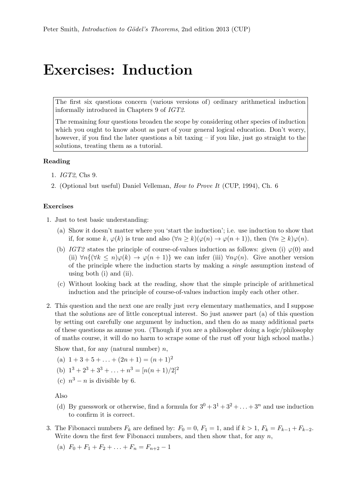## Exercises: Induction

The first six questions concern (various versions of) ordinary arithmetical induction informally introduced in Chapters 9 of IGT2.

The remaining four questions broaden the scope by considering other species of induction which you ought to know about as part of your general logical education. Don't worry, however, if you find the later questions a bit taxing – if you like, just go straight to the solutions, treating them as a tutorial.

## Reading

- 1. IGT2, Chs 9.
- 2. (Optional but useful) Daniel Velleman, How to Prove It (CUP, 1994), Ch. 6

## Exercises

- 1. Just to test basic understanding:
	- (a) Show it doesn't matter where you 'start the induction'; i.e. use induction to show that if, for some k,  $\varphi(k)$  is true and also  $(\forall n \ge k)(\varphi(n) \to \varphi(n+1))$ , then  $(\forall n \ge k)\varphi(n)$ .
	- (b) IGT2 states the principle of course-of-values induction as follows: given (i)  $\varphi(0)$  and (ii)  $\forall n\{(\forall k \leq n)\varphi(k) \to \varphi(n+1)\}\$  we can infer (iii)  $\forall n\varphi(n)$ . Give another version of the principle where the induction starts by making a single assumption instead of using both (i) and (ii).
	- (c) Without looking back at the reading, show that the simple principle of arithmetical induction and the principle of course-of-values induction imply each other other.
- 2. This question and the next one are really just very elementary mathematics, and I suppose that the solutions are of little conceptual interest. So just answer part (a) of this question by setting out carefully one argument by induction, and then do as many additional parts of these questions as amuse you. (Though if you are a philosopher doing a logic/philosophy of maths course, it will do no harm to scrape some of the rust off your high school maths.)

Show that, for any (natural number)  $n$ ,

- (a)  $1 + 3 + 5 + \ldots + (2n + 1) = (n + 1)^2$
- (b)  $1^3 + 2^3 + 3^3 + \ldots + n^3 = [n(n+1)/2]^2$
- (c)  $n^3 n$  is divisible by 6.

Also

- (d) By guesswork or otherwise, find a formula for  $3^0 + 3^1 + 3^2 + \ldots + 3^n$  and use induction to confirm it is correct.
- 3. The Fibonacci numbers  $F_k$  are defined by:  $F_0 = 0$ ,  $F_1 = 1$ , and if  $k > 1$ ,  $F_k = F_{k-1} + F_{k-2}$ . Write down the first few Fibonacci numbers, and then show that, for any  $n$ ,
	- (a)  $F_0 + F_1 + F_2 + \ldots + F_n = F_{n+2} 1$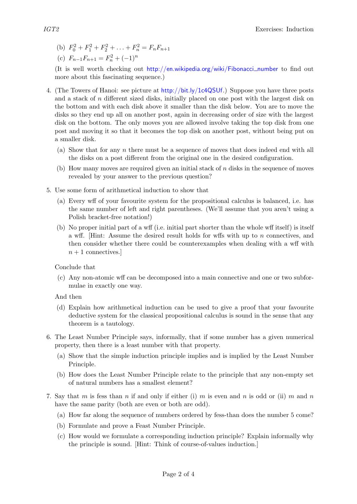- (b)  $F_0^2 + F_1^2 + F_2^2 + \ldots + F_n^2 = F_n F_{n+1}$
- (c)  $F_{n-1}F_{n+1} = F_n^2 + (-1)^n$

(It is well worth checking out [http://en.wikipedia.org/wiki/Fibonacci](http://en.wikipedia.org/wiki/Fibonacci_number)\_number to find out more about this fascinating sequence.)

- 4. (The Towers of Hanoi: see picture at <http://bit.ly/1c4QSUf>.) Suppose you have three posts and a stack of  $n$  different sized disks, initially placed on one post with the largest disk on the bottom and with each disk above it smaller than the disk below. You are to move the disks so they end up all on another post, again in decreasing order of size with the largest disk on the bottom. The only moves you are allowed involve taking the top disk from one post and moving it so that it becomes the top disk on another post, without being put on a smaller disk.
	- (a) Show that for any n there must be a sequence of moves that does indeed end with all the disks on a post different from the original one in the desired configuration.
	- (b) How many moves are required given an initial stack of n disks in the sequence of moves revealed by your answer to the previous question?
- 5. Use some form of arithmetical induction to show that
	- (a) Every wff of your favourite system for the propositional calculus is balanced, i.e. has the same number of left and right parentheses. (We'll assume that you aren't using a Polish bracket-free notation!)
	- (b) No proper initial part of a wff (i.e. initial part shorter than the whole wff itself) is itself a wff. [Hint: Assume the desired result holds for wffs with up to  $n$  connectives, and then consider whether there could be counterexamples when dealing with a wff with  $n + 1$  connectives.

Conclude that

- (c) Any non-atomic wff can be decomposed into a main connective and one or two subformulae in exactly one way.
- And then
- (d) Explain how arithmetical induction can be used to give a proof that your favourite deductive system for the classical propositional calculus is sound in the sense that any theorem is a tautology.
- 6. The Least Number Principle says, informally, that if some number has a given numerical property, then there is a least number with that property.
	- (a) Show that the simple induction principle implies and is implied by the Least Number Principle.
	- (b) How does the Least Number Principle relate to the principle that any non-empty set of natural numbers has a smallest element?
- 7. Say that m is fess than n if and only if either (i) m is even and n is odd or (ii) m and n have the same parity (both are even or both are odd).
	- (a) How far along the sequence of numbers ordered by fess-than does the number 5 come?
	- (b) Formulate and prove a Feast Number Principle.
	- (c) How would we formulate a corresponding induction principle? Explain informally why the principle is sound. [Hint: Think of course-of-values induction.]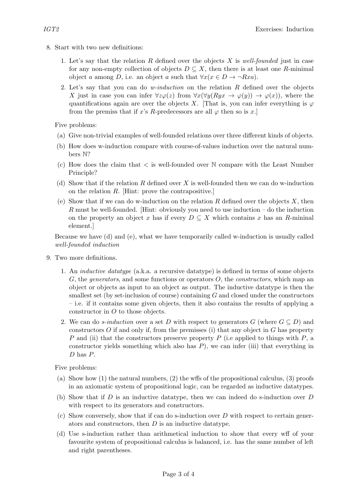- 8. Start with two new definitions:
	- 1. Let's say that the relation R defined over the objects  $X$  is well-founded just in case for any non-empty collection of objects  $D \subseteq X$ , then there is at least one R-minimal object a among D, i.e. an object a such that  $\forall x (x \in D \rightarrow \neg Rxa)$ .
	- 2. Let's say that you can do *w-induction* on the relation  $R$  defined over the objects X just in case you can infer  $\forall z\varphi(z)$  from  $\forall x(\forall u(Rux \rightarrow \varphi(u)) \rightarrow \varphi(x))$ , where the quantifications again are over the objects X. [That is, you can infer everything is  $\varphi$ from the premiss that if x's R-predecessors are all  $\varphi$  then so is x.

Five problems:

- (a) Give non-trivial examples of well-founded relations over three different kinds of objects.
- (b) How does w-induction compare with course-of-values induction over the natural numbers N?
- (c) How does the claim that  $\lt$  is well-founded over  $\mathbb N$  compare with the Least Number Principle?
- (d) Show that if the relation R defined over X is well-founded then we can do w-induction on the relation R. [Hint: prove the contrapositive.]
- (e) Show that if we can do w-induction on the relation R defined over the objects  $X$ , then R must be well-founded. Hint: obviously you need to use induction – do the induction on the property an object x has if every  $D \subseteq X$  which contains x has an R-mininal element.]

Because we have (d) and (e), what we have temporarily called w-induction is usually called well-founded induction

- 9. Two more definitions.
	- 1. An inductive datatype (a.k.a. a recursive datatype) is defined in terms of some objects  $G$ , the *generators*, and some functions or operators  $O$ , the *constructors*, which map an object or objects as input to an object as output. The inductive datatype is then the smallest set (by set-inclusion of course) containing G and closed under the constructors – i.e. if it contains some given objects, then it also contains the results of applying a constructor in O to those objects.
	- 2. We can do *s-induction* over a set D with respect to generators G (where  $G \subseteq D$ ) and constructors  $O$  if and only if, from the premisses (i) that any object in  $G$  has property P and (ii) that the constructors preserve property P (i.e applied to things with  $P$ , a constructor yields something which also has  $P$ ), we can infer (iii) that everything in D has P.

Five problems:

- (a) Show how (1) the natural numbers, (2) the wffs of the propositional calculus, (3) proofs in an axiomatic system of propositional logic, can be regarded as inductive datatypes.
- (b) Show that if D is an inductive datatype, then we can indeed do s-induction over D with respect to its generators and constructors.
- (c) Show conversely, show that if can do s-induction over D with respect to certain generators and constructors, then D is an inductive datatype.
- (d) Use s-induction rather than arithmetical induction to show that every wff of your favourite system of propositional calculus is balanced, i.e. has the same number of left and right parentheses.